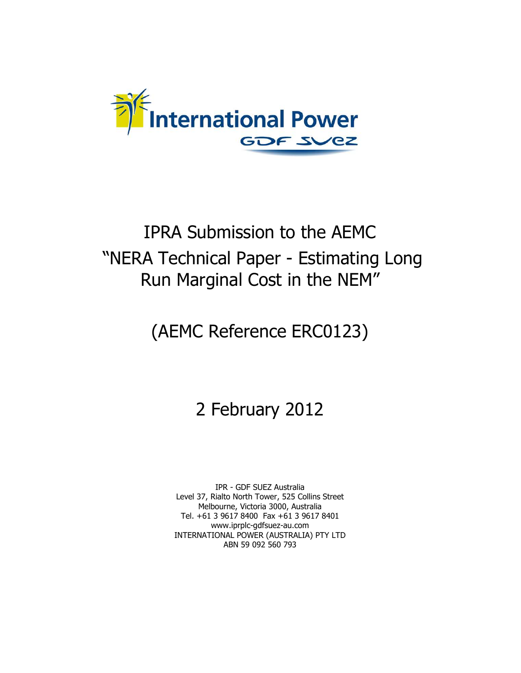

## IPRA Submission to the AEMC "NERA Technical Paper - Estimating Long Run Marginal Cost in the NEM"

# (AEMC Reference ERC0123)

## 2 February 2012

IPR - GDF SUEZ Australia Level 37, Rialto North Tower, 525 Collins Street Melbourne, Victoria 3000, Australia Tel. +61 3 9617 8400 Fax +61 3 9617 8401 www.iprplc-gdfsuez-au.com INTERNATIONAL POWER (AUSTRALIA) PTY LTD ABN 59 092 560 793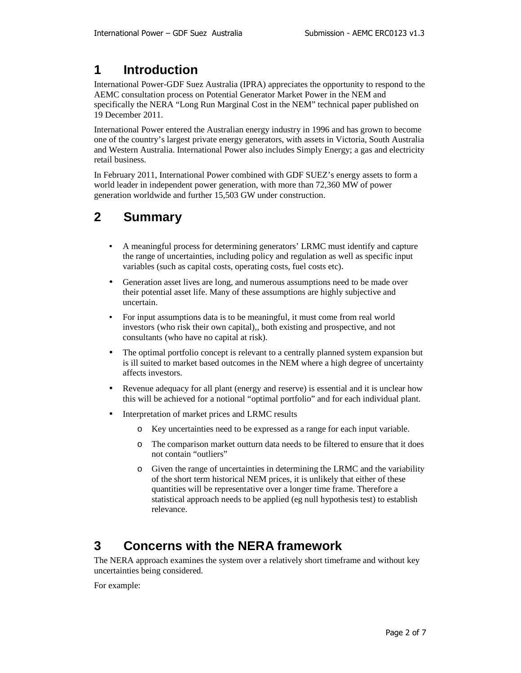#### **1 Introduction**

International Power-GDF Suez Australia (IPRA) appreciates the opportunity to respond to the AEMC consultation process on Potential Generator Market Power in the NEM and specifically the NERA "Long Run Marginal Cost in the NEM" technical paper published on 19 December 2011.

International Power entered the Australian energy industry in 1996 and has grown to become one of the country's largest private energy generators, with assets in Victoria, South Australia and Western Australia. International Power also includes Simply Energy; a gas and electricity retail business.

In February 2011, International Power combined with GDF SUEZ's energy assets to form a world leader in independent power generation, with more than 72,360 MW of power generation worldwide and further 15,503 GW under construction.

### **2 Summary**

- A meaningful process for determining generators' LRMC must identify and capture the range of uncertainties, including policy and regulation as well as specific input variables (such as capital costs, operating costs, fuel costs etc).
- Generation asset lives are long, and numerous assumptions need to be made over their potential asset life. Many of these assumptions are highly subjective and uncertain.
- For input assumptions data is to be meaningful, it must come from real world investors (who risk their own capital),, both existing and prospective, and not consultants (who have no capital at risk).
- The optimal portfolio concept is relevant to a centrally planned system expansion but is ill suited to market based outcomes in the NEM where a high degree of uncertainty affects investors.
- Revenue adequacy for all plant (energy and reserve) is essential and it is unclear how this will be achieved for a notional "optimal portfolio" and for each individual plant.
- Interpretation of market prices and LRMC results
	- o Key uncertainties need to be expressed as a range for each input variable.
	- o The comparison market outturn data needs to be filtered to ensure that it does not contain "outliers"
	- o Given the range of uncertainties in determining the LRMC and the variability of the short term historical NEM prices, it is unlikely that either of these quantities will be representative over a longer time frame. Therefore a statistical approach needs to be applied (eg null hypothesis test) to establish relevance.

### **3 Concerns with the NERA framework**

The NERA approach examines the system over a relatively short timeframe and without key uncertainties being considered.

For example: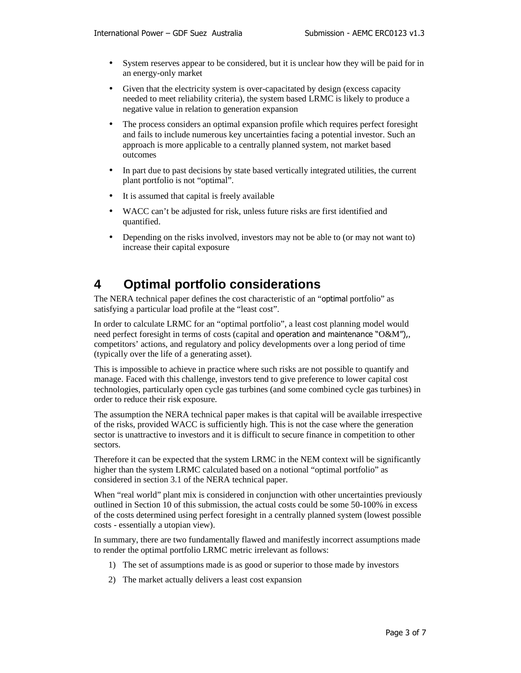- System reserves appear to be considered, but it is unclear how they will be paid for in an energy-only market
- Given that the electricity system is over-capacitated by design (excess capacity needed to meet reliability criteria), the system based LRMC is likely to produce a negative value in relation to generation expansion
- The process considers an optimal expansion profile which requires perfect foresight and fails to include numerous key uncertainties facing a potential investor. Such an approach is more applicable to a centrally planned system, not market based outcomes
- In part due to past decisions by state based vertically integrated utilities, the current plant portfolio is not "optimal".
- It is assumed that capital is freely available
- WACC can't be adjusted for risk, unless future risks are first identified and quantified.
- Depending on the risks involved, investors may not be able to (or may not want to) increase their capital exposure

#### **4 Optimal portfolio considerations**

The NERA technical paper defines the cost characteristic of an "optimal portfolio" as satisfying a particular load profile at the "least cost".

In order to calculate LRMC for an "optimal portfolio", a least cost planning model would need perfect foresight in terms of costs (capital and operation and maintenance "O&M"), competitors' actions, and regulatory and policy developments over a long period of time (typically over the life of a generating asset).

This is impossible to achieve in practice where such risks are not possible to quantify and manage. Faced with this challenge, investors tend to give preference to lower capital cost technologies, particularly open cycle gas turbines (and some combined cycle gas turbines) in order to reduce their risk exposure.

The assumption the NERA technical paper makes is that capital will be available irrespective of the risks, provided WACC is sufficiently high. This is not the case where the generation sector is unattractive to investors and it is difficult to secure finance in competition to other sectors.

Therefore it can be expected that the system LRMC in the NEM context will be significantly higher than the system LRMC calculated based on a notional "optimal portfolio" as considered in section 3.1 of the NERA technical paper.

When "real world" plant mix is considered in conjunction with other uncertainties previously outlined in Section 10 of this submission, the actual costs could be some 50-100% in excess of the costs determined using perfect foresight in a centrally planned system (lowest possible costs - essentially a utopian view).

In summary, there are two fundamentally flawed and manifestly incorrect assumptions made to render the optimal portfolio LRMC metric irrelevant as follows:

- 1) The set of assumptions made is as good or superior to those made by investors
- 2) The market actually delivers a least cost expansion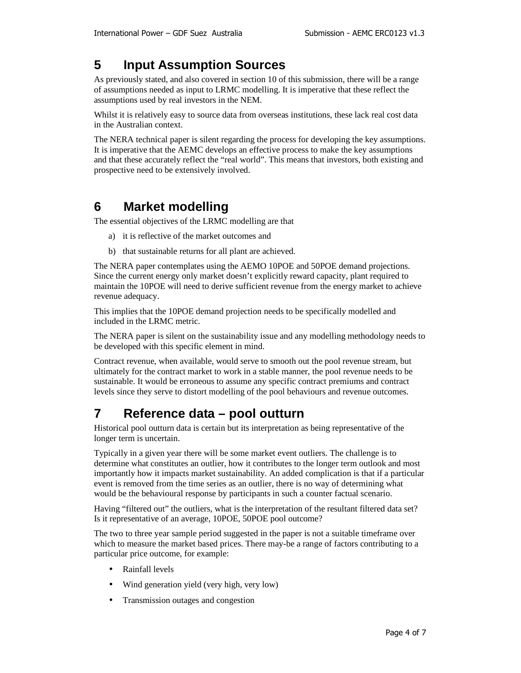#### **5 Input Assumption Sources**

As previously stated, and also covered in section 10 of this submission, there will be a range of assumptions needed as input to LRMC modelling. It is imperative that these reflect the assumptions used by real investors in the NEM.

Whilst it is relatively easy to source data from overseas institutions, these lack real cost data in the Australian context.

The NERA technical paper is silent regarding the process for developing the key assumptions. It is imperative that the AEMC develops an effective process to make the key assumptions and that these accurately reflect the "real world". This means that investors, both existing and prospective need to be extensively involved.

#### **6 Market modelling**

The essential objectives of the LRMC modelling are that

- a) it is reflective of the market outcomes and
- b) that sustainable returns for all plant are achieved.

The NERA paper contemplates using the AEMO 10POE and 50POE demand projections. Since the current energy only market doesn't explicitly reward capacity, plant required to maintain the 10POE will need to derive sufficient revenue from the energy market to achieve revenue adequacy.

This implies that the 10POE demand projection needs to be specifically modelled and included in the LRMC metric.

The NERA paper is silent on the sustainability issue and any modelling methodology needs to be developed with this specific element in mind.

Contract revenue, when available, would serve to smooth out the pool revenue stream, but ultimately for the contract market to work in a stable manner, the pool revenue needs to be sustainable. It would be erroneous to assume any specific contract premiums and contract levels since they serve to distort modelling of the pool behaviours and revenue outcomes.

#### **7 Reference data – pool outturn**

Historical pool outturn data is certain but its interpretation as being representative of the longer term is uncertain.

Typically in a given year there will be some market event outliers. The challenge is to determine what constitutes an outlier, how it contributes to the longer term outlook and most importantly how it impacts market sustainability. An added complication is that if a particular event is removed from the time series as an outlier, there is no way of determining what would be the behavioural response by participants in such a counter factual scenario.

Having "filtered out" the outliers, what is the interpretation of the resultant filtered data set? Is it representative of an average, 10POE, 50POE pool outcome?

The two to three year sample period suggested in the paper is not a suitable timeframe over which to measure the market based prices. There may-be a range of factors contributing to a particular price outcome, for example:

- Rainfall levels
- Wind generation yield (very high, very low)
- Transmission outages and congestion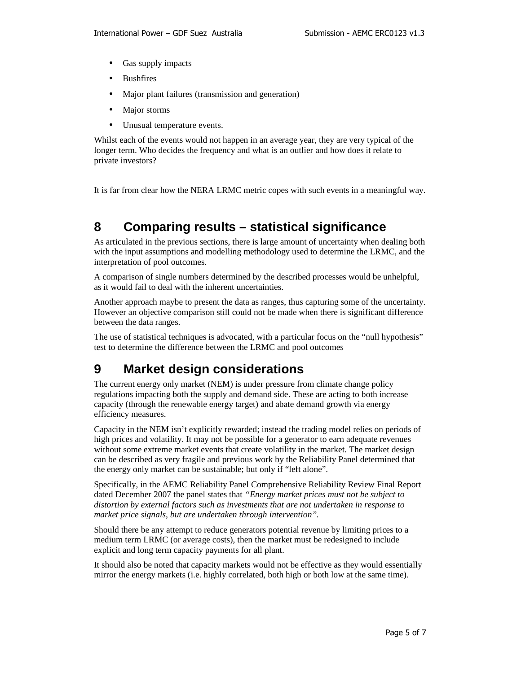- Gas supply impacts
- **Bushfires**
- Major plant failures (transmission and generation)
- Major storms
- Unusual temperature events.

Whilst each of the events would not happen in an average year, they are very typical of the longer term. Who decides the frequency and what is an outlier and how does it relate to private investors?

It is far from clear how the NERA LRMC metric copes with such events in a meaningful way.

### **8 Comparing results – statistical significance**

As articulated in the previous sections, there is large amount of uncertainty when dealing both with the input assumptions and modelling methodology used to determine the LRMC, and the interpretation of pool outcomes.

A comparison of single numbers determined by the described processes would be unhelpful, as it would fail to deal with the inherent uncertainties.

Another approach maybe to present the data as ranges, thus capturing some of the uncertainty. However an objective comparison still could not be made when there is significant difference between the data ranges.

The use of statistical techniques is advocated, with a particular focus on the "null hypothesis" test to determine the difference between the LRMC and pool outcomes

#### **9 Market design considerations**

The current energy only market (NEM) is under pressure from climate change policy regulations impacting both the supply and demand side. These are acting to both increase capacity (through the renewable energy target) and abate demand growth via energy efficiency measures.

Capacity in the NEM isn't explicitly rewarded; instead the trading model relies on periods of high prices and volatility. It may not be possible for a generator to earn adequate revenues without some extreme market events that create volatility in the market. The market design can be described as very fragile and previous work by the Reliability Panel determined that the energy only market can be sustainable; but only if "left alone".

Specifically, in the AEMC Reliability Panel Comprehensive Reliability Review Final Report dated December 2007 the panel states that *"Energy market prices must not be subject to distortion by external factors such as investments that are not undertaken in response to market price signals, but are undertaken through intervention".*

Should there be any attempt to reduce generators potential revenue by limiting prices to a medium term LRMC (or average costs), then the market must be redesigned to include explicit and long term capacity payments for all plant.

It should also be noted that capacity markets would not be effective as they would essentially mirror the energy markets (i.e. highly correlated, both high or both low at the same time).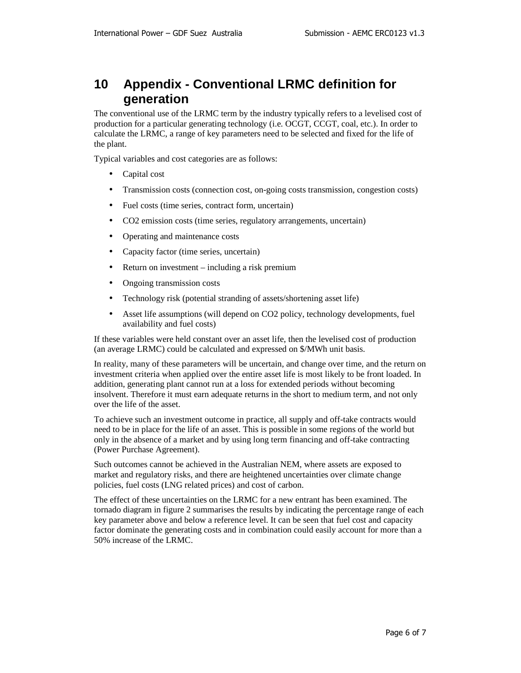#### **10 Appendix - Conventional LRMC definition for generation**

The conventional use of the LRMC term by the industry typically refers to a levelised cost of production for a particular generating technology (i.e. OCGT, CCGT, coal, etc.). In order to calculate the LRMC, a range of key parameters need to be selected and fixed for the life of the plant.

Typical variables and cost categories are as follows:

- Capital cost
- Transmission costs (connection cost, on-going costs transmission, congestion costs)
- Fuel costs (time series, contract form, uncertain)
- CO2 emission costs (time series, regulatory arrangements, uncertain)
- Operating and maintenance costs
- Capacity factor (time series, uncertain)
- Return on investment including a risk premium
- Ongoing transmission costs
- Technology risk (potential stranding of assets/shortening asset life)
- Asset life assumptions (will depend on CO2 policy, technology developments, fuel availability and fuel costs)

If these variables were held constant over an asset life, then the levelised cost of production (an average LRMC) could be calculated and expressed on \$/MWh unit basis.

In reality, many of these parameters will be uncertain, and change over time, and the return on investment criteria when applied over the entire asset life is most likely to be front loaded. In addition, generating plant cannot run at a loss for extended periods without becoming insolvent. Therefore it must earn adequate returns in the short to medium term, and not only over the life of the asset.

To achieve such an investment outcome in practice, all supply and off-take contracts would need to be in place for the life of an asset. This is possible in some regions of the world but only in the absence of a market and by using long term financing and off-take contracting (Power Purchase Agreement).

Such outcomes cannot be achieved in the Australian NEM, where assets are exposed to market and regulatory risks, and there are heightened uncertainties over climate change policies, fuel costs (LNG related prices) and cost of carbon.

The effect of these uncertainties on the LRMC for a new entrant has been examined. The tornado diagram in figure 2 summarises the results by indicating the percentage range of each key parameter above and below a reference level. It can be seen that fuel cost and capacity factor dominate the generating costs and in combination could easily account for more than a 50% increase of the LRMC.